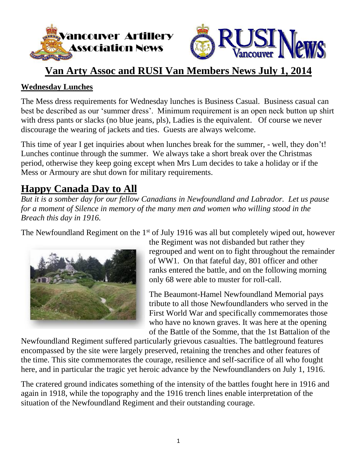



### **Van Arty Assoc and RUSI Van Members News July 1, 2014**

#### **Wednesday Lunches**

The Mess dress requirements for Wednesday lunches is Business Casual. Business casual can best be described as our 'summer dress'. Minimum requirement is an open neck button up shirt with dress pants or slacks (no blue jeans, pls), Ladies is the equivalent. Of course we never discourage the wearing of jackets and ties. Guests are always welcome.

This time of year I get inquiries about when lunches break for the summer, - well, they don't! Lunches continue through the summer. We always take a short break over the Christmas period, otherwise they keep going except when Mrs Lum decides to take a holiday or if the Mess or Armoury are shut down for military requirements.

### **Happy Canada Day to All**

*But it is a somber day for our fellow Canadians in Newfoundland and Labrador. Let us pause for a moment of Silence in memory of the many men and women who willing stood in the Breach this day in 1916.*

The Newfoundland Regiment on the  $1<sup>st</sup>$  of July 1916 was all but completely wiped out, however



the Regiment was not disbanded but rather they regrouped and went on to fight throughout the remainder of WW1. On that fateful day, 801 officer and other ranks entered the battle, and on the following morning only 68 were able to muster for roll-call.

The Beaumont-Hamel Newfoundland Memorial pays tribute to all those Newfoundlanders who served in the First World War and specifically commemorates those who have no known graves. It was here at the opening of the Battle of the Somme, that the 1st Battalion of the

Newfoundland Regiment suffered particularly grievous casualties. The battleground features encompassed by the site were largely preserved, retaining the trenches and other features of the time. This site commemorates the courage, resilience and self-sacrifice of all who fought here, and in particular the tragic yet heroic advance by the Newfoundlanders on July 1, 1916.

The cratered ground indicates something of the intensity of the battles fought here in 1916 and again in 1918, while the topography and the 1916 trench lines enable interpretation of the situation of the Newfoundland Regiment and their outstanding courage.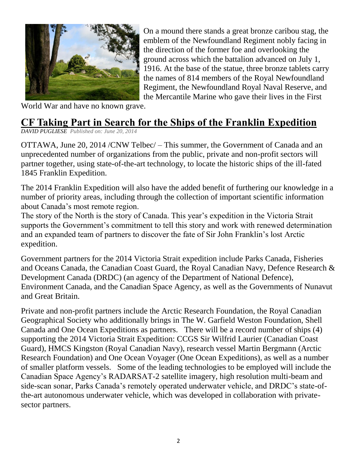

On a mound there stands a great bronze caribou stag, the emblem of the Newfoundland Regiment nobly facing in the direction of the former foe and overlooking the ground across which the battalion advanced on July 1, 1916. At the base of the statue, three bronze tablets carry the names of 814 members of the Royal Newfoundland Regiment, the Newfoundland Royal Naval Reserve, and the Mercantile Marine who gave their lives in the First

World War and have no known grave.

# **CF Taking Part in Search for the Ships of the Franklin Expedition**

*DAVID [PUGLIESE](http://ottawacitizen.com/author/davidpugliese2) Published on: June 20, 2014* 

OTTAWA, June 20, 2014 /CNW Telbec/ – This summer, the Government of Canada and an unprecedented number of organizations from the public, private and non-profit sectors will partner together, using state-of-the-art technology, to locate the historic ships of the ill-fated 1845 Franklin Expedition.

The 2014 Franklin Expedition will also have the added benefit of furthering our knowledge in a number of priority areas, including through the collection of important scientific information about Canada's most remote region.

The story of the North is the story of Canada. This year's expedition in the Victoria Strait supports the Government's commitment to tell this story and work with renewed determination and an expanded team of partners to discover the fate of Sir John Franklin's lost Arctic expedition.

Government partners for the 2014 Victoria Strait expedition include Parks Canada, Fisheries and Oceans Canada, the Canadian Coast Guard, the Royal Canadian Navy, Defence Research & Development Canada (DRDC) (an agency of the Department of National Defence), Environment Canada, and the Canadian Space Agency, as well as the Governments of Nunavut and Great Britain.

Private and non-profit partners include the Arctic Research Foundation, the Royal Canadian Geographical Society who additionally brings in The W. Garfield Weston Foundation, Shell Canada and One Ocean Expeditions as partners. There will be a record number of ships (4) supporting the 2014 Victoria Strait Expedition: CCGS Sir Wilfrid Laurier (Canadian Coast Guard), HMCS Kingston (Royal Canadian Navy), research vessel Martin Bergmann (Arctic Research Foundation) and One Ocean Voyager (One Ocean Expeditions), as well as a number of smaller platform vessels. Some of the leading technologies to be employed will include the Canadian Space Agency's RADARSAT-2 satellite imagery, high resolution multi-beam and side-scan sonar, Parks Canada's remotely operated underwater vehicle, and DRDC's state-ofthe-art autonomous underwater vehicle, which was developed in collaboration with privatesector partners.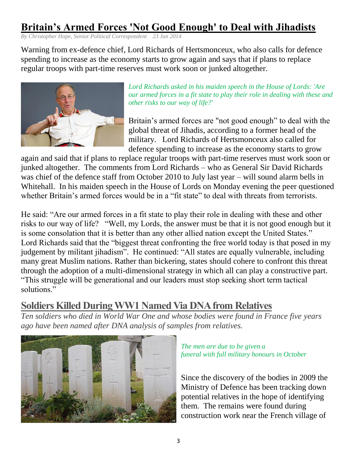## **Britain's Armed Forces 'Not Good Enough' to Deal with Jihadists**

*By Christopher Hope, Senior Political Correspondent 23 Jun 2014*

Warning from ex-defence chief, Lord Richards of Hertsmonceux, who also calls for defence spending to increase as the economy starts to grow again and says that if plans to replace regular troops with part-time reserves must work soon or junked altogether.



*Lord Richards asked in his maiden speech in the House of Lords: 'Are our armed forces in a fit state to play their role in dealing with these and other risks to our way of life?'* 

Britain's armed forces are "not good enough" to deal with the global threat of Jihadis, according to a former head of the military. Lord Richards of Hertsmonceux also called for defence spending to increase as the economy starts to grow

again and said that if plans to replace regular troops with part-time reserves must work soon or junked altogether. The comments from Lord Richards – who as General Sir David Richards was chief of the defence staff from October 2010 to July last year – will sound alarm bells in Whitehall. In his maiden speech in the House of Lords on Monday evening the peer questioned whether Britain's armed forces would be in a "fit state" to deal with threats from terrorists.

He said: "Are our armed forces in a fit state to play their role in dealing with these and other risks to our way of life? "Well, my Lords, the answer must be that it is not good enough but it is some consolation that it is better than any other allied nation except the United States." Lord Richards said that the "biggest threat confronting the free world today is that posed in my judgement by militant jihadism". He continued: "All states are equally vulnerable, including many great Muslim nations. Rather than bickering, states should cohere to confront this threat through the adoption of a multi-dimensional strategy in which all can play a constructive part. "This struggle will be generational and our leaders must stop seeking short term tactical solutions."

### **Soldiers Killed During WW1 Named Via DNA from Relatives**

*Ten soldiers who died in World War One and whose bodies were found in France five years ago have been named after DNA analysis of samples from relatives.*



*The men are due to be given a funeral with full military honours in October*

Since the discovery of the bodies in 2009 the Ministry of Defence has been tracking down potential relatives in the hope of identifying them. The remains were found during construction work near the French village of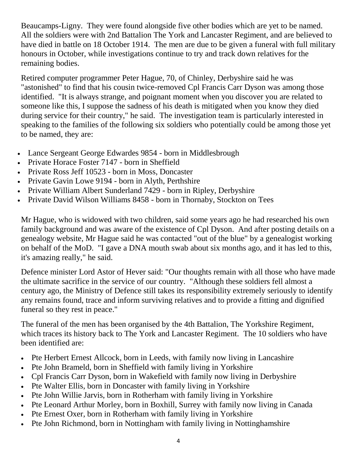Beaucamps-Ligny. They were found alongside five other bodies which are yet to be named. All the soldiers were with 2nd Battalion The York and Lancaster Regiment, and are believed to have died in battle on 18 October 1914. The men are due to be given a funeral with full military honours in October, while investigations continue to try and track down relatives for the remaining bodies.

Retired computer programmer Peter Hague, 70, of Chinley, Derbyshire said he was "astonished" to find that his cousin twice-removed Cpl Francis Carr Dyson was among those identified. "It is always strange, and poignant moment when you discover you are related to someone like this, I suppose the sadness of his death is mitigated when you know they died during service for their country," he said. The investigation team is particularly interested in speaking to the families of the following six soldiers who potentially could be among those yet to be named, they are:

- Lance Sergeant George Edwardes 9854 born in Middlesbrough
- Private Horace Foster 7147 born in Sheffield
- Private Ross Jeff 10523 born in Moss, Doncaster
- Private Gavin Lowe 9194 born in Alyth, Perthshire
- Private William Albert Sunderland 7429 born in Ripley, Derbyshire
- Private David Wilson Williams 8458 born in Thornaby, Stockton on Tees

Mr Hague, who is widowed with two children, said some years ago he had researched his own family background and was aware of the existence of Cpl Dyson. And after posting details on a genealogy website, Mr Hague said he was contacted "out of the blue" by a genealogist working on behalf of the MoD. "I gave a DNA mouth swab about six months ago, and it has led to this, it's amazing really," he said.

Defence minister Lord Astor of Hever said: "Our thoughts remain with all those who have made the ultimate sacrifice in the service of our country. "Although these soldiers fell almost a century ago, the Ministry of Defence still takes its responsibility extremely seriously to identify any remains found, trace and inform surviving relatives and to provide a fitting and dignified funeral so they rest in peace."

The funeral of the men has been organised by the 4th Battalion, The Yorkshire Regiment, which traces its history back to The York and Lancaster Regiment. The 10 soldiers who have been identified are:

- Pte Herbert Ernest Allcock, born in Leeds, with family now living in Lancashire
- Pte John Brameld, born in Sheffield with family living in Yorkshire
- Cpl Francis Carr Dyson, born in Wakefield with family now living in Derbyshire
- Pte Walter Ellis, born in Doncaster with family living in Yorkshire
- Pte John Willie Jarvis, born in Rotherham with family living in Yorkshire
- Pte Leonard Arthur Morley, born in Boxhill, Surrey with family now living in Canada
- Pte Ernest Oxer, born in Rotherham with family living in Yorkshire
- Pte John Richmond, born in Nottingham with family living in Nottinghamshire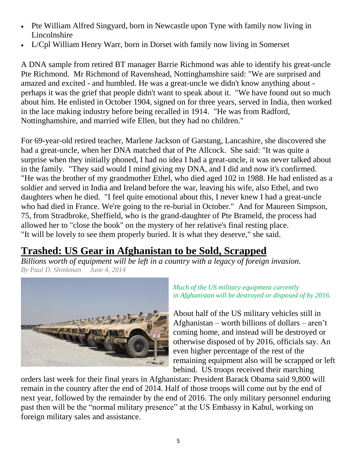- Pte William Alfred Singyard, born in Newcastle upon Tyne with family now living in Lincolnshire
- L/Cpl William Henry Warr, born in Dorset with family now living in Somerset

A DNA sample from retired BT manager Barrie Richmond was able to identify his great-uncle Pte Richmond. Mr Richmond of Ravenshead, Nottinghamshire said: "We are surprised and amazed and excited - and humbled. He was a great-uncle we didn't know anything about perhaps it was the grief that people didn't want to speak about it. "We have found out so much about him. He enlisted in October 1904, signed on for three years, served in India, then worked in the lace making industry before being recalled in 1914. "He was from Radford, Nottinghamshire, and married wife Ellen, but they had no children."

For 69-year-old retired teacher, Marlene Jackson of Garstang, Lancashire, she discovered she had a great-uncle, when her DNA matched that of Pte Allcock. She said: "It was quite a surprise when they initially phoned, I had no idea I had a great-uncle, it was never talked about in the family. "They said would I mind giving my DNA, and I did and now it's confirmed. "He was the brother of my grandmother Ethel, who died aged 102 in 1988. He had enlisted as a soldier and served in India and Ireland before the war, leaving his wife, also Ethel, and two daughters when he died. "I feel quite emotional about this, I never knew I had a great-uncle who had died in France. We're going to the re-burial in October." And for Maureen Simpson, 75, from Stradbroke, Sheffield, who is the grand-daughter of Pte Brameld, the process had allowed her to "close the book" on the mystery of her relative's final resting place. "It will be lovely to see them properly buried. It is what they deserve," she said.

## **Trashed: US Gear in Afghanistan to be Sold, Scrapped**

*Billions worth of equipment will be left in a country with a legacy of foreign invasion. By Paul D. Shinkman June 4, 2014* 



*Much of the US military equipment currently in Afghanistan will be destroyed or disposed of by 2016.*

About half of the US military vehicles still in Afghanistan – worth billions of dollars – aren't coming home, and instead will be destroyed or otherwise disposed of by 2016, officials say. An even higher percentage of the rest of the remaining equipment also will be scrapped or left behind. US troops received their marching

orders last week for their final years in Afghanistan: President Barack Obama said 9,800 will remain in the country after the end of 2014. Half of those troops will come out by the end of next year, followed by the remainder by the end of 2016. The only military personnel enduring past then will be the "normal military presence" at the US Embassy in Kabul, working on foreign military sales and assistance.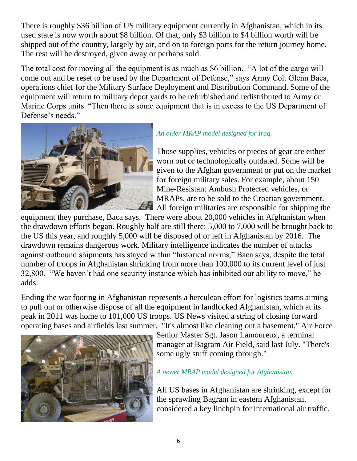There is roughly \$36 billion of US military equipment currently in Afghanistan, which in its used state is now worth about \$8 billion. Of that, only \$3 billion to \$4 billion worth will be shipped out of the country, largely by air, and on to foreign ports for the return journey home. The rest will be destroyed, given away or perhaps sold.

The total cost for moving all the equipment is as much as \$6 billion. "A lot of the cargo will come out and be reset to be used by the Department of Defense," says Army Col. Glenn Baca, operations chief for the Military Surface Deployment and Distribution Command. Some of the equipment will return to military depot yards to be refurbished and redistributed to Army or Marine Corps units. "Then there is some equipment that is in excess to the US Department of Defense's needs."



#### *An older MRAP model designed for Iraq.*

Those supplies, vehicles or pieces of gear are either worn out or technologically outdated. Some will be given to the Afghan government or put on the market for foreign military sales. For example, about 150 Mine-Resistant Ambush Protected vehicles, or MRAPs, are to be sold to the Croatian government. All foreign militaries are responsible for shipping the

equipment they purchase, Baca says. There were about 20,000 vehicles in Afghanistan when the drawdown efforts began. Roughly half are still there: 5,000 to 7,000 will be brought back to the US this year, and roughly 5,000 will be disposed of or left in Afghanistan by 2016. The drawdown remains dangerous work. Military intelligence indicates the number of attacks against outbound shipments has stayed within "historical norms," Baca says, despite the total number of troops in Afghanistan shrinking from more than 100,000 to its current level of just 32,800. "We haven't had one security instance which has inhibited our ability to move," he adds.

Ending the war footing in Afghanistan represents a herculean effort for logistics teams aiming to pull out or otherwise dispose of all the equipment in landlocked Afghanistan, which at its peak in 2011 was home to 101,000 US troops. US News visited a string of closing forward operating bases and airfields last summer. "It's almost like cleaning out a basement," Air Force



Senior Master Sgt. Jason Lamoureux, a terminal manager at Bagram Air Field, said last July. "There's some ugly stuff coming through."

### *A newer MRAP model designed for Afghanistan.*

All US bases in Afghanistan are shrinking, except for the sprawling Bagram in eastern Afghanistan, considered a key linchpin for international air traffic.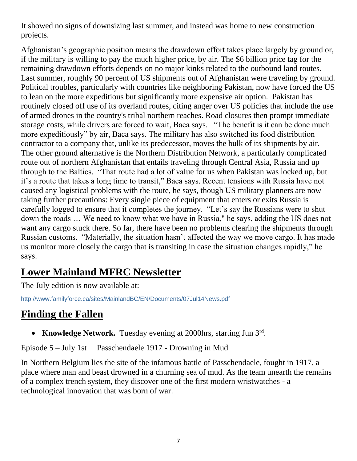It showed no signs of downsizing last summer, and instead was home to new construction projects.

Afghanistan's geographic position means the drawdown effort takes place largely by ground or, if the military is willing to pay the much higher price, by air. The \$6 billion price tag for the remaining drawdown efforts depends on no major kinks related to the outbound land routes. Last summer, roughly 90 percent of US shipments out of Afghanistan were traveling by ground. Political troubles, particularly with countries like neighboring Pakistan, now have forced the US to lean on the more expeditious but significantly more expensive air option. Pakistan has routinely closed off use of its overland routes, citing anger over US policies that include the use of armed drones in the country's tribal northern reaches. Road closures then prompt immediate storage costs, while drivers are forced to wait, Baca says. "The benefit is it can be done much more expeditiously" by air, Baca says. The military has also switched its food distribution contractor to a company that, unlike its predecessor, moves the bulk of its shipments by air. The other ground alternative is the Northern Distribution Network, a particularly complicated route out of northern Afghanistan that entails traveling through Central Asia, Russia and up through to the Baltics. "That route had a lot of value for us when Pakistan was locked up, but it's a route that takes a long time to transit," Baca says. Recent tensions with Russia have not caused any logistical problems with the route, he says, though US military planners are now taking further precautions: Every single piece of equipment that enters or exits Russia is carefully logged to ensure that it completes the journey. "Let's say the Russians were to shut down the roads … We need to know what we have in Russia," he says, adding the US does not want any cargo stuck there. So far, there have been no problems clearing the shipments through Russian customs. "Materially, the situation hasn't affected the way we move cargo. It has made us monitor more closely the cargo that is transiting in case the situation changes rapidly," he says.

### **Lower Mainland MFRC Newsletter**

The July edition is now available at:

[http://www.familyforce.ca/sites/MainlandBC/EN/Documents/07Jul14News.pdf](http://familyforce.us4.list-manage.com/track/click?u=995fa2f33a4c0b0a0b43de6d6&id=31fcb998a2&e=e1ac39bf47)

## **Finding the Fallen**

• Knowledge Network. Tuesday evening at 2000hrs, starting Jun 3<sup>rd</sup>.

Episode 5 – July 1st Passchendaele 1917 - Drowning in Mud

In Northern Belgium lies the site of the infamous battle of Passchendaele, fought in 1917, a place where man and beast drowned in a churning sea of mud. As the team unearth the remains of a complex trench system, they discover one of the first modern wristwatches - a technological innovation that was born of war.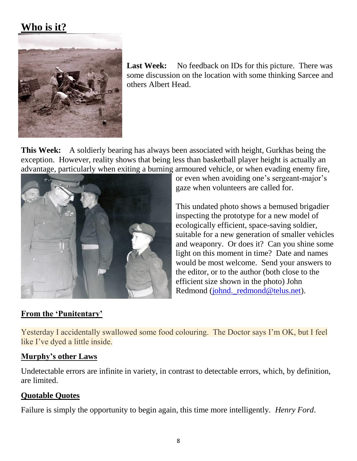## **Who is it?**



Last Week: No feedback on IDs for this picture. There was some discussion on the location with some thinking Sarcee and others Albert Head.

**This Week:** A soldierly bearing has always been associated with height, Gurkhas being the exception. However, reality shows that being less than basketball player height is actually an advantage, particularly when exiting a burning armoured vehicle, or when evading enemy fire,



or even when avoiding one's sergeant-major's gaze when volunteers are called for.

This undated photo shows a bemused brigadier inspecting the prototype for a new model of ecologically efficient, space-saving soldier, suitable for a new generation of smaller vehicles and weaponry. Or does it? Can you shine some light on this moment in time? Date and names would be most welcome. Send your answers to the editor, or to the author (both close to the efficient size shown in the photo) John Redmond [\(johnd.\\_redmond@telus.net\)](mailto:johnd._redmond@telus.net).

### **From the 'Punitentary'**

Yesterday I accidentally swallowed some food colouring. The Doctor says I'm OK, but I feel like I've dyed a little inside.

### **Murphy's other Laws**

Undetectable errors are infinite in variety, in contrast to detectable errors, which, by definition, are limited.

### **Quotable Quotes**

Failure is simply the opportunity to begin again, this time more intelligently. *Henry Ford*.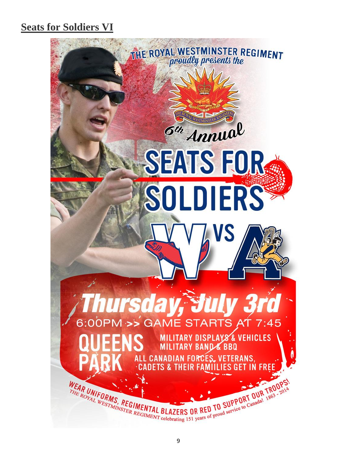## **Seats for Soldiers VI**